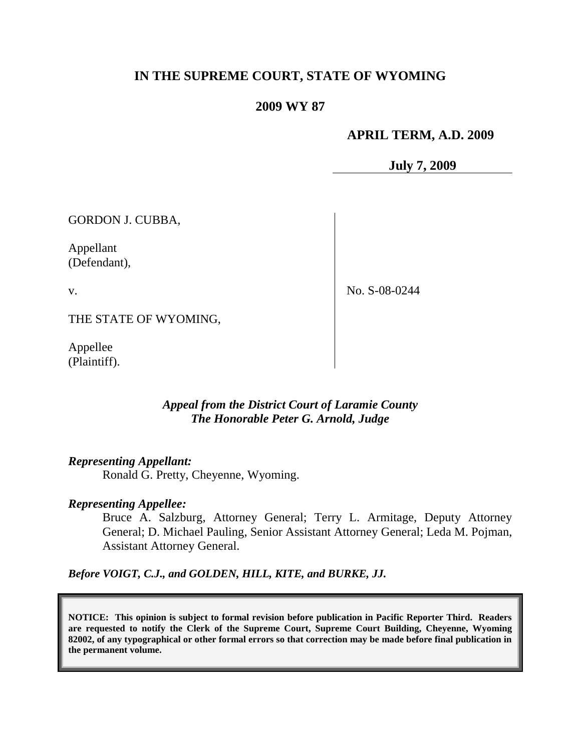# **IN THE SUPREME COURT, STATE OF WYOMING**

## **2009 WY 87**

### **APRIL TERM, A.D. 2009**

**July 7, 2009**

GORDON J. CUBBA,

Appellant (Defendant),

v.

No. S-08-0244

THE STATE OF WYOMING,

Appellee (Plaintiff).

## *Appeal from the District Court of Laramie County The Honorable Peter G. Arnold, Judge*

## *Representing Appellant:*

Ronald G. Pretty, Cheyenne, Wyoming.

#### *Representing Appellee:*

Bruce A. Salzburg, Attorney General; Terry L. Armitage, Deputy Attorney General; D. Michael Pauling, Senior Assistant Attorney General; Leda M. Pojman, Assistant Attorney General.

*Before VOIGT, C.J., and GOLDEN, HILL, KITE, and BURKE, JJ.*

**NOTICE: This opinion is subject to formal revision before publication in Pacific Reporter Third. Readers are requested to notify the Clerk of the Supreme Court, Supreme Court Building, Cheyenne, Wyoming 82002, of any typographical or other formal errors so that correction may be made before final publication in the permanent volume.**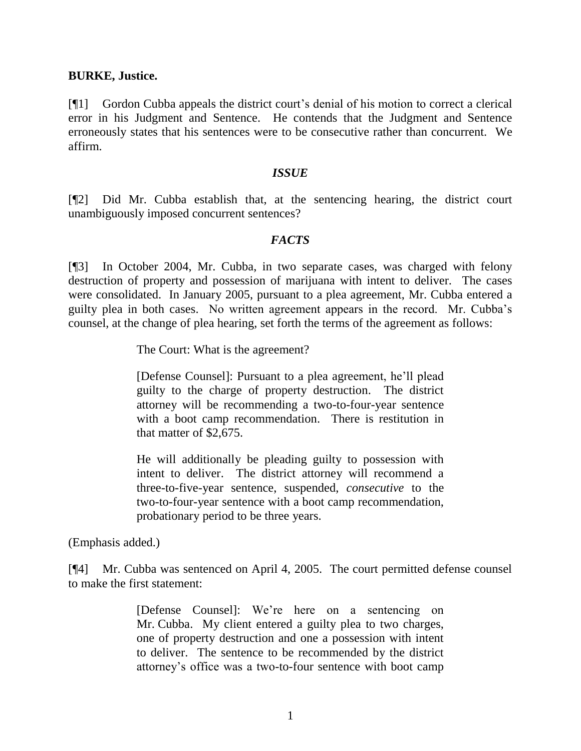### **BURKE, Justice.**

[¶1] Gordon Cubba appeals the district court's denial of his motion to correct a clerical error in his Judgment and Sentence. He contends that the Judgment and Sentence erroneously states that his sentences were to be consecutive rather than concurrent. We affirm.

### *ISSUE*

[¶2] Did Mr. Cubba establish that, at the sentencing hearing, the district court unambiguously imposed concurrent sentences?

## *FACTS*

[¶3] In October 2004, Mr. Cubba, in two separate cases, was charged with felony destruction of property and possession of marijuana with intent to deliver. The cases were consolidated. In January 2005, pursuant to a plea agreement, Mr. Cubba entered a guilty plea in both cases. No written agreement appears in the record. Mr. Cubba's counsel, at the change of plea hearing, set forth the terms of the agreement as follows:

The Court: What is the agreement?

[Defense Counsel]: Pursuant to a plea agreement, he'll plead guilty to the charge of property destruction. The district attorney will be recommending a two-to-four-year sentence with a boot camp recommendation. There is restitution in that matter of \$2,675.

He will additionally be pleading guilty to possession with intent to deliver. The district attorney will recommend a three-to-five-year sentence, suspended, *consecutive* to the two-to-four-year sentence with a boot camp recommendation, probationary period to be three years.

(Emphasis added.)

[¶4] Mr. Cubba was sentenced on April 4, 2005. The court permitted defense counsel to make the first statement:

> [Defense Counsel]: We're here on a sentencing on Mr. Cubba. My client entered a guilty plea to two charges, one of property destruction and one a possession with intent to deliver. The sentence to be recommended by the district attorney's office was a two-to-four sentence with boot camp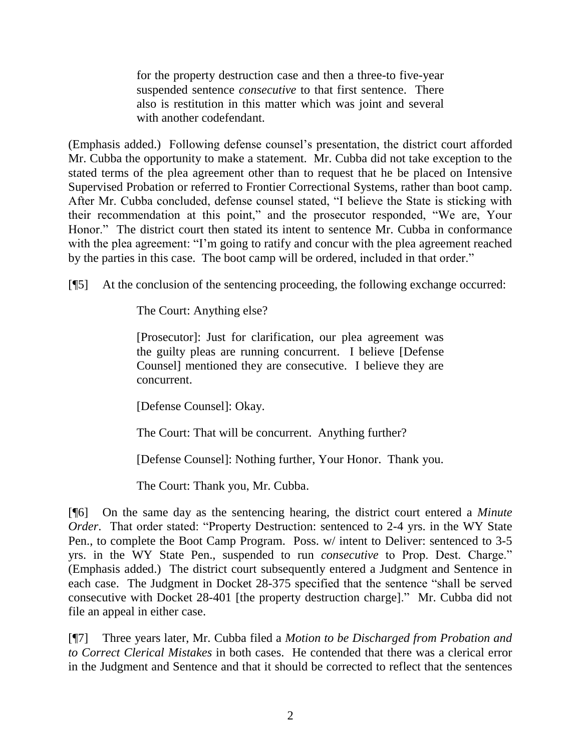for the property destruction case and then a three-to five-year suspended sentence *consecutive* to that first sentence. There also is restitution in this matter which was joint and several with another codefendant.

(Emphasis added.) Following defense counsel's presentation, the district court afforded Mr. Cubba the opportunity to make a statement. Mr. Cubba did not take exception to the stated terms of the plea agreement other than to request that he be placed on Intensive Supervised Probation or referred to Frontier Correctional Systems, rather than boot camp. After Mr. Cubba concluded, defense counsel stated, "I believe the State is sticking with their recommendation at this point," and the prosecutor responded, "We are, Your Honor." The district court then stated its intent to sentence Mr. Cubba in conformance with the plea agreement: "I'm going to ratify and concur with the plea agreement reached by the parties in this case. The boot camp will be ordered, included in that order."

[¶5] At the conclusion of the sentencing proceeding, the following exchange occurred:

The Court: Anything else?

[Prosecutor]: Just for clarification, our plea agreement was the guilty pleas are running concurrent. I believe [Defense Counsel] mentioned they are consecutive. I believe they are concurrent.

[Defense Counsel]: Okay.

The Court: That will be concurrent. Anything further?

[Defense Counsel]: Nothing further, Your Honor. Thank you.

The Court: Thank you, Mr. Cubba.

[¶6] On the same day as the sentencing hearing, the district court entered a *Minute Order*. That order stated: "Property Destruction: sentenced to 2-4 yrs. in the WY State Pen., to complete the Boot Camp Program. Poss. w/ intent to Deliver: sentenced to 3-5 yrs. in the WY State Pen., suspended to run *consecutive* to Prop. Dest. Charge." (Emphasis added.) The district court subsequently entered a Judgment and Sentence in each case. The Judgment in Docket 28-375 specified that the sentence "shall be served consecutive with Docket 28-401 [the property destruction charge]." Mr. Cubba did not file an appeal in either case.

[¶7] Three years later, Mr. Cubba filed a *Motion to be Discharged from Probation and to Correct Clerical Mistakes* in both cases. He contended that there was a clerical error in the Judgment and Sentence and that it should be corrected to reflect that the sentences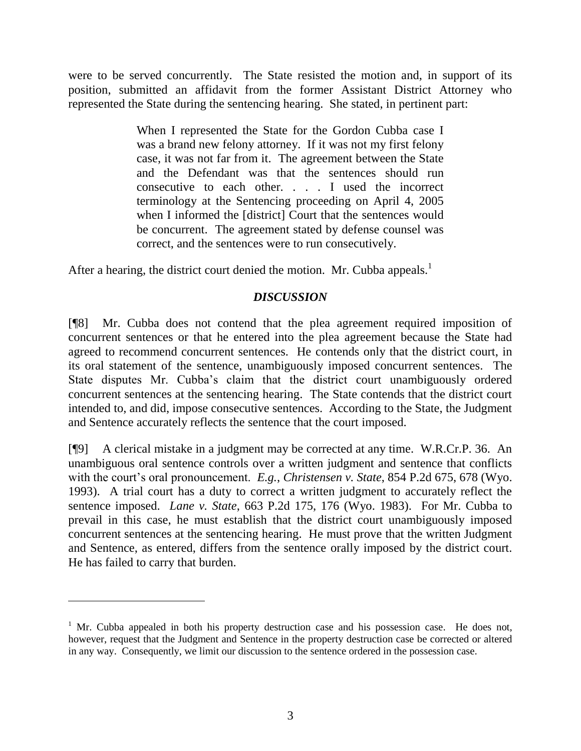were to be served concurrently. The State resisted the motion and, in support of its position, submitted an affidavit from the former Assistant District Attorney who represented the State during the sentencing hearing. She stated, in pertinent part:

> When I represented the State for the Gordon Cubba case I was a brand new felony attorney. If it was not my first felony case, it was not far from it. The agreement between the State and the Defendant was that the sentences should run consecutive to each other. . . . I used the incorrect terminology at the Sentencing proceeding on April 4, 2005 when I informed the [district] Court that the sentences would be concurrent. The agreement stated by defense counsel was correct, and the sentences were to run consecutively.

After a hearing, the district court denied the motion. Mr. Cubba appeals.<sup>1</sup>

# *DISCUSSION*

[¶8] Mr. Cubba does not contend that the plea agreement required imposition of concurrent sentences or that he entered into the plea agreement because the State had agreed to recommend concurrent sentences. He contends only that the district court, in its oral statement of the sentence, unambiguously imposed concurrent sentences. The State disputes Mr. Cubba's claim that the district court unambiguously ordered concurrent sentences at the sentencing hearing. The State contends that the district court intended to, and did, impose consecutive sentences. According to the State, the Judgment and Sentence accurately reflects the sentence that the court imposed.

[¶9] A clerical mistake in a judgment may be corrected at any time. W.R.Cr.P. 36. An unambiguous oral sentence controls over a written judgment and sentence that conflicts with the court's oral pronouncement. *E.g.*, *Christensen v. State*, 854 P.2d 675, 678 (Wyo. 1993). A trial court has a duty to correct a written judgment to accurately reflect the sentence imposed. *Lane v. State*, 663 P.2d 175, 176 (Wyo. 1983). For Mr. Cubba to prevail in this case, he must establish that the district court unambiguously imposed concurrent sentences at the sentencing hearing. He must prove that the written Judgment and Sentence, as entered, differs from the sentence orally imposed by the district court. He has failed to carry that burden.

 $\overline{a}$ 

 $1$  Mr. Cubba appealed in both his property destruction case and his possession case. He does not, however, request that the Judgment and Sentence in the property destruction case be corrected or altered in any way. Consequently, we limit our discussion to the sentence ordered in the possession case.